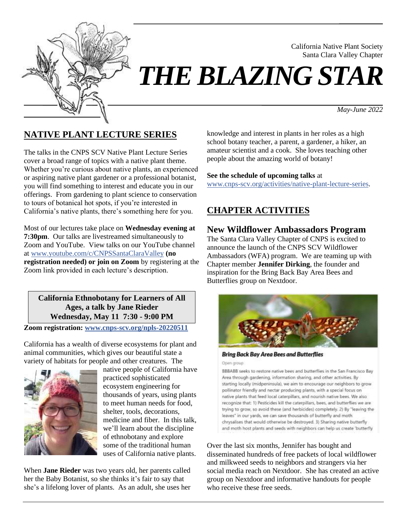

# *THE BLAZING STAR*

*May-June 2022*

California Native Plant Society Santa Clara Valley Chapter

# **NATIVE PLANT LECTURE SERIES**

The talks in the CNPS SCV Native Plant Lecture Series cover a broad range of topics with a native plant theme. Whether you're curious about native plants, an experienced or aspiring native plant gardener or a professional botanist, you will find something to interest and educate you in our offerings. From gardening to plant science to conservation to tours of botanical hot spots, if you're interested in California's native plants, there's something here for you.

Most of our lectures take place on **Wednesday evening at 7:30pm**. Our talks are livestreamed simultaneously to Zoom and YouTube. View talks on our YouTube channel at [www.youtube.com/c/CNPSSantaClaraValley](https://www.youtube.com/c/CNPSSantaClaraValley) **(no registration needed) or join on Zoom** by registering at the Zoom link provided in each lecture's description.

**California Ethnobotany for Learners of All Ages, a talk by Jane Rieder Wednesday, May 11 7:30 - 9:00 PM**

**Zoom registration: [www.cnps-scv.org/npls-20220511](https://cnps-scv.org/npls-20220511)**

California has a wealth of diverse ecosystems for plant and animal communities, which gives our beautiful state a variety of habitats for people and other creatures. The



native people of California have practiced sophisticated ecosystem engineering for thousands of years, using plants to meet human needs for food, shelter, tools, decorations, medicine and fiber. In this talk, we'll learn about the discipline of ethnobotany and explore some of the traditional human uses of California native plants.

When **Jane Rieder** was two years old, her parents called her the Baby Botanist, so she thinks it's fair to say that she's a lifelong lover of plants. As an adult, she uses her

knowledge and interest in plants in her roles as a high school botany teacher, a parent, a gardener, a hiker, an amateur scientist and a cook. She loves teaching other people about the amazing world of botany!

#### **See the schedule of upcoming talks** at

[www.cnps-scv.org/activities/native-plant-lecture-series.](https://cnps-scv.org/activities/native-plant-lecture-series)

# **CHAPTER ACTIVITIES**

## **New Wildflower Ambassadors Program**

The Santa Clara Valley Chapter of CNPS is excited to announce the launch of the CNPS SCV Wildflower Ambassadors (WFA) program. We are teaming up with Chapter member **Jennifer Dirking**, the founder and inspiration for the Bring Back Bay Area Bees and Butterflies group on Nextdoor.



**Bring Back Bay Area Bees and Butterflies** 

Open group

BBBABB seeks to restore native bees and butterflies in the San Francisco Bay Area through gardening, information sharing, and other activities. By starting locally (midpeninsula), we aim to encourage our neighbors to grow pollinator friendly and nectar producing plants, with a special focus on native plants that feed local caterpillars, and nourish native bees. We also recognize that: 1) Pesticides kill the caterpillars, bees, and butterflies we are trying to grow, so avoid these (and herbicides) completely. 2) By "leaving the leaves" in our yards, we can save thousands of butterfly and moth chrysalises that would otherwise be destroyed. 3) Sharing native butterfly and moth host plants and seeds with neighbors can help us create 'butterfly

Over the last six months, Jennifer has bought and disseminated hundreds of free packets of local wildflower and milkweed seeds to neighbors and strangers via her social media reach on Nextdoor. She has created an active group on Nextdoor and informative handouts for people who receive these free seeds.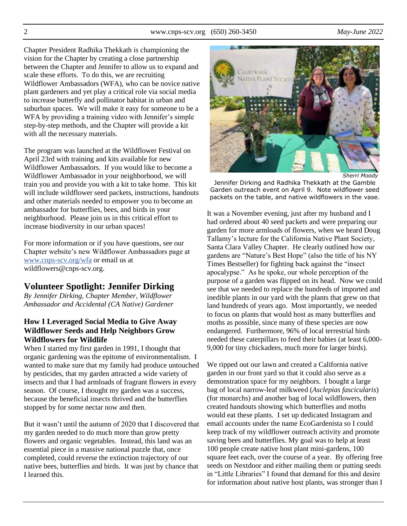2 www.cnps-scv.org (650) 260-3450 *May-June 2022*

Chapter President Radhika Thekkath is championing the vision for the Chapter by creating a close partnership between the Chapter and Jennifer to allow us to expand and scale these efforts. To do this, we are recruiting Wildflower Ambassadors (WFA), who can be novice native plant gardeners and yet play a critical role via social media to increase butterfly and pollinator habitat in urban and suburban spaces. We will make it easy for someone to be a WFA by providing a training video with Jennifer's simple step-by-step methods, and the Chapter will provide a kit with all the necessary materials.

The program was launched at the Wildflower Festival on April 23rd with training and kits available for new Wildflower Ambassadors. If you would like to become a Wildflower Ambassador in your neighborhood, we will train you and provide you with a kit to take home. This kit will include wildflower seed packets, instructions, handouts and other materials needed to empower you to become an ambassador for butterflies, bees, and birds in your neighborhood. Please join us in this critical effort to increase biodiversity in our urban spaces!

For more information or if you have questions, see our Chapter website's new Wildflower Ambassadors page at [www.cnps-scv.org/wfa](https://www.cnps-scv.org/wfa) or email us at wildflowers@cnps-scv.org.

## **Volunteer Spotlight: Jennifer Dirking**

*By Jennifer Dirking, Chapter Member, Wildflower Ambassador and Accidental (CA Native) Gardener*

#### **How I Leveraged Social Media to Give Away Wildflower Seeds and Help Neighbors Grow Wildflowers for Wildlife**

When I started my first garden in 1991, I thought that organic gardening was the epitome of environmentalism. I wanted to make sure that my family had produce untouched by pesticides, that my garden attracted a wide variety of insects and that I had armloads of fragrant flowers in every season. Of course, I thought my garden was a success, because the beneficial insects thrived and the butterflies stopped by for some nectar now and then.

But it wasn't until the autumn of 2020 that I discovered that my garden needed to do much more than grow pretty flowers and organic vegetables. Instead, this land was an essential piece in a massive national puzzle that, once completed, could reverse the extinction trajectory of our native bees, butterflies and birds. It was just by chance that I learned this.



*Sherri Moody*

Jennifer Dirking and Radhika Thekkath at the Gamble Garden outreach event on April 9. Note wildflower seed packets on the table, and native wildflowers in the vase.

It was a November evening, just after my husband and I had ordered about 40 seed packets and were preparing our garden for more armloads of flowers, when we heard Doug Tallamy's lecture for the California Native Plant Society, Santa Clara Valley Chapter. He clearly outlined how our gardens are "Nature's Best Hope" (also the title of his NY Times Bestseller) for fighting back against the "insect apocalypse." As he spoke, our whole perception of the purpose of a garden was flipped on its head. Now we could see that we needed to replace the hundreds of imported and inedible plants in our yard with the plants that grew on that land hundreds of years ago. Most importantly, we needed to focus on plants that would host as many butterflies and moths as possible, since many of these species are now endangered. Furthermore, 96% of local terrestrial birds needed these caterpillars to feed their babies (at least 6,000- 9,000 for tiny chickadees, much more for larger birds).

We ripped out our lawn and created a California native garden in our front yard so that it could also serve as a demonstration space for my neighbors. I bought a large bag of local narrow-leaf milkweed (*Asclepias fascicularis*) (for monarchs) and another bag of local wildflowers, then created handouts showing which butterflies and moths would eat these plants. I set up dedicated Instagram and email accounts under the name EcoGardenista so I could keep track of my wildflower outreach activity and promote saving bees and butterflies. My goal was to help at least 100 people create native host plant mini-gardens, 100 square feet each, over the course of a year. By offering free seeds on Nextdoor and either mailing them or putting seeds in "Little Libraries" I found that demand for this and desire for information about native host plants, was stronger than I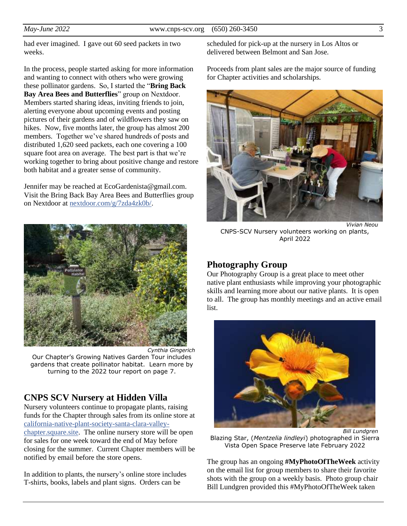had ever imagined. I gave out 60 seed packets in two weeks.

In the process, people started asking for more information and wanting to connect with others who were growing these pollinator gardens. So, I started the "**Bring Back Bay Area Bees and Butterflies**" group on Nextdoor. Members started sharing ideas, inviting friends to join, alerting everyone about upcoming events and posting pictures of their gardens and of wildflowers they saw on hikes. Now, five months later, the group has almost 200 members. Together we've shared hundreds of posts and distributed 1,620 seed packets, each one covering a 100 square foot area on average. The best part is that we're working together to bring about positive change and restore both habitat and a greater sense of community.

Jennifer may be reached at EcoGardenista@gmail.com. Visit the Bring Back Bay Area Bees and Butterflies group on Nextdoor at [nextdoor.com/g/7zda4zk0b/.](https://nextdoor.com/g/7zda4zk0b/)



*Cynthia Gingerich* Our Chapter's Growing Natives Garden Tour includes gardens that create pollinator habitat. Learn more by turning to the 2022 tour report on page 7.

# **CNPS SCV Nursery at Hidden Villa**

Nursery volunteers continue to propagate plants, raising funds for the Chapter through sales from its online store at [california-native-plant-society-santa-clara-valley](https://california-native-plant-society-santa-clara-valley-chapter.square.site/)[chapter.square.site.](https://california-native-plant-society-santa-clara-valley-chapter.square.site/) The online nursery store will be open for sales for one week toward the end of May before closing for the summer. Current Chapter members will be notified by email before the store opens.

In addition to plants, the nursery's online store includes T-shirts, books, labels and plant signs. Orders can be

scheduled for pick-up at the nursery in Los Altos or delivered between Belmont and San Jose.

Proceeds from plant sales are the major source of funding for Chapter activities and scholarships.



*Vivian Neou* CNPS-SCV Nursery volunteers working on plants, April 2022

## **Photography Group**

Our Photography Group is a great place to meet other native plant enthusiasts while improving your photographic skills and learning more about our native plants. It is open to all. The group has monthly meetings and an active email list.



Blazing Star, (*Mentzelia lindleyi*) photographed in Sierra Vista Open Space Preserve late February 2022

The group has an ongoing **#MyPhotoOfTheWeek** activity on the email list for group members to share their favorite shots with the group on a weekly basis. Photo group chair Bill Lundgren provided this #MyPhotoOfTheWeek taken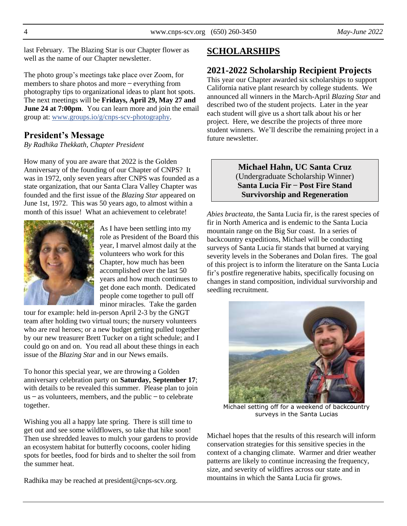last February. The Blazing Star is our Chapter flower as well as the name of our Chapter newsletter.

The photo group's meetings take place over Zoom, for members to share photos and more – everything from photography tips to organizational ideas to plant hot spots. The next meetings will be **Fridays, April 29, May 27 and June 24 at 7:00pm**. You can learn more and join the email group at: [www.groups.io/g/cnps-scv-photography.](https://www.groups.io/g/CNPS-SCV-Photography)

#### **President's Message**

*By Radhika Thekkath, Chapter President*

How many of you are aware that 2022 is the Golden Anniversary of the founding of our Chapter of CNPS? It was in 1972, only seven years after CNPS was founded as a state organization, that our Santa Clara Valley Chapter was founded and the first issue of the *Blazing Star* appeared on June 1st, 1972. This was 50 years ago, to almost within a month of this issue! What an achievement to celebrate!



As I have been settling into my role as President of the Board this year, I marvel almost daily at the volunteers who work for this Chapter, how much has been accomplished over the last 50 years and how much continues to get done each month. Dedicated people come together to pull off minor miracles. Take the garden

tour for example: held in-person April 2-3 by the GNGT team after holding two virtual tours; the nursery volunteers who are real heroes; or a new budget getting pulled together by our new treasurer Brett Tucker on a tight schedule; and I could go on and on. You read all about these things in each issue of the *Blazing Star* and in our News emails.

To honor this special year, we are throwing a Golden anniversary celebration party on **Saturday, September 17**; with details to be revealed this summer. Please plan to join  $us - as$  volunteers, members, and the public  $-$  to celebrate together.

Wishing you all a happy late spring. There is still time to get out and see some wildflowers, so take that hike soon! Then use shredded leaves to mulch your gardens to provide an ecosystem habitat for butterfly cocoons, cooler hiding spots for beetles, food for birds and to shelter the soil from the summer heat.

Radhika may be reached at president@cnps-scv.org.

### **SCHOLARSHIPS**

#### **2021-2022 Scholarship Recipient Projects**

This year our Chapter awarded six scholarships to support California native plant research by college students. We announced all winners in the March-April *Blazing Star* and described two of the student projects. Later in the year each student will give us a short talk about his or her project. Here, we describe the projects of three more student winners. We'll describe the remaining project in a future newsletter.

> **Michael Hahn, UC Santa Cruz** (Undergraduate Scholarship Winner) **Santa Lucia Fir – Post Fire Stand Survivorship and Regeneration**

*Abies bracteata*, the Santa Lucia fir, is the rarest species of fir in North America and is endemic to the Santa Lucia mountain range on the Big Sur coast. In a series of backcountry expeditions, Michael will be conducting surveys of Santa Lucia fir stands that burned at varying severity levels in the Soberanes and Dolan fires. The goal of this project is to inform the literature on the Santa Lucia fir's postfire regenerative habits, specifically focusing on changes in stand composition, individual survivorship and seedling recruitment.



Michael setting off for a weekend of backcountry surveys in the Santa Lucias

Michael hopes that the results of this research will inform conservation strategies for this sensitive species in the context of a changing climate. Warmer and drier weather patterns are likely to continue increasing the frequency, size, and severity of wildfires across our state and in mountains in which the Santa Lucia fir grows.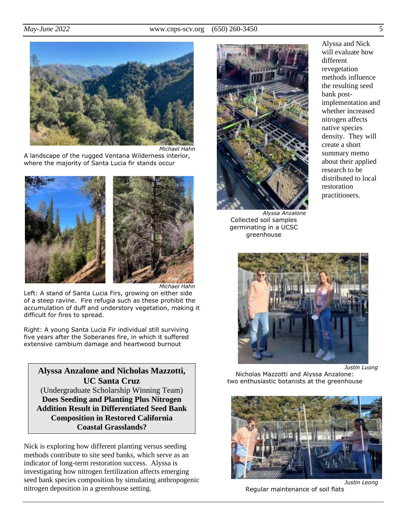

A landscape of the rugged Ventana Wilderness interior, where the majority of Santa Lucia fir stands occur



*Michael Hahn*

Left: A stand of Santa Lucia Firs, growing on either side of a steep ravine. Fire refugia such as these prohibit the accumulation of duff and understory vegetation, making it difficult for fires to spread.

Right: A young Santa Lucia Fir individual still surviving five years after the Soberanes fire, in which it suffered extensive cambium damage and heartwood burnout

## **Alyssa Anzalone and Nicholas Mazzotti, UC Santa Cruz** (Undergraduate Scholarship Winning Team) **Does Seeding and Planting Plus Nitrogen Addition Result in Differentiated Seed Bank Composition in Restored California Coastal Grasslands?**

Nick is exploring how different planting versus seeding methods contribute to site seed banks, which serve as an indicator of long-term restoration success. Alyssa is investigating how nitrogen fertilization affects emerging seed bank species composition by simulating anthropogenic nitrogen deposition in a greenhouse setting.



*Alyssa Anzalone* Collected soil samples germinating in a UCSC greenhouse





*Justin Luong*

Nicholas Mazzotti and Alyssa Anzalone: two enthusiastic botanists at the greenhouse



Regular maintenance of soil flats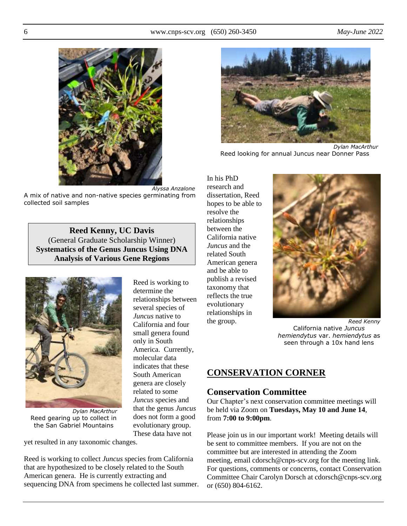

*Alyssa Anzalone* A mix of native and non-native species germinating from collected soil samples

**Reed Kenny, UC Davis**  (General Graduate Scholarship Winner) **Systematics of the Genus Juncus Using DNA Analysis of Various Gene Regions**

> Reed is working to determine the

relationships between several species of *Juncus* native to California and four small genera found only in South

America. Currently, molecular data indicates that these South American genera are closely related to some *Juncus* species and that the genus *Juncus* does not form a good evolutionary group. These data have not



*Dylan MacArthur* Reed gearing up to collect in the San Gabriel Mountains

yet resulted in any taxonomic changes.

Reed is working to collect *Juncus* species from California that are hypothesized to be closely related to the South American genera. He is currently extracting and sequencing DNA from specimens he collected last summer.



Reed looking for annual Juncus near Donner Pass

In his PhD research and dissertation, Reed hopes to be able to resolve the relationships between the California native *Juncus* and the related South American genera and be able to publish a revised taxonomy that reflects the true evolutionary relationships in the group.



*Reed Kenny* California native *Juncus hemiendytus* var. *hemiendytus* as seen through a 10x hand lens

# **CONSERVATION CORNER**

## **Conservation Committee**

Our Chapter's next conservation committee meetings will be held via Zoom on **Tuesdays, May 10 and June 14**, from **7:00 to 9:00pm**.

Please join us in our important work! Meeting details will be sent to committee members. If you are not on the committee but are interested in attending the Zoom meeting, email cdorsch@cnps-scv.org for the meeting link. For questions, comments or concerns, contact Conservation Committee Chair Carolyn Dorsch at cdorsch@cnps-scv.org or (650) 804-6162.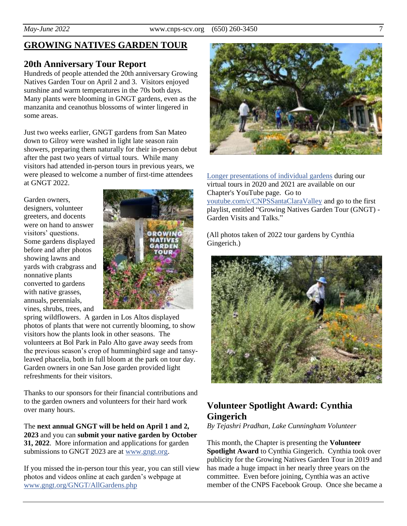## **GROWING NATIVES GARDEN TOUR**

#### **20th Anniversary Tour Report**

Hundreds of people attended the 20th anniversary Growing Natives Garden Tour on April 2 and 3. Visitors enjoyed sunshine and warm temperatures in the 70s both days. Many plants were blooming in GNGT gardens, even as the manzanita and ceanothus blossoms of winter lingered in some areas.

Just two weeks earlier, GNGT gardens from San Mateo down to Gilroy were washed in light late season rain showers, preparing them naturally for their in-person debut after the past two years of virtual tours. While many visitors had attended in-person tours in previous years, we were pleased to welcome a number of first-time attendees at GNGT 2022.

Garden owners, designers, volunteer greeters, and docents were on hand to answer visitors' questions. Some gardens displayed before and after photos showing lawns and yards with crabgrass and nonnative plants converted to gardens with native grasses, annuals, perennials, vines, shrubs, trees, and



spring wildflowers. A garden in Los Altos displayed photos of plants that were not currently blooming, to show visitors how the plants look in other seasons. The volunteers at Bol Park in Palo Alto gave away seeds from the previous season's crop of hummingbird sage and tansyleaved phacelia, both in full bloom at the park on tour day. Garden owners in one San Jose garden provided light refreshments for their visitors.

Thanks to our sponsors for their financial contributions and to the garden owners and volunteers for their hard work over many hours.

The **next annual GNGT will be held on April 1 and 2, 2023** and you can **submit your native garden by October 31, 2022**. More information and applications for garden submissions to GNGT 2023 are at [www.gngt.org.](https://www.gngt.org/)

If you missed the in-person tour this year, you can still view photos and videos online at each garden's webpage at [www.gngt.org/GNGT/AllGardens.php](https://www.gngt.org/GNGT/AllGardens.php)



[Longer presentations of individual gardens](https://m.youtube.com/playlist?list=PLFgVQI4uMmD8H3doreUdmDCo3kIilyYI4) during our virtual tours in 2020 and 2021 are available on our Chapter's YouTube page. Go to [youtube.com/c/CNPSSantaClaraValley](https://youtube.com/c/CNPSSantaClaraValley/) and go to the first playlist, entitled "Growing Natives Garden Tour (GNGT) - Garden Visits and Talks."

(All photos taken of 2022 tour gardens by Cynthia Gingerich.)



# **Volunteer Spotlight Award: Cynthia Gingerich**

*By Tejashri Pradhan, Lake Cunningham Volunteer*

This month, the Chapter is presenting the **Volunteer Spotlight Award** to Cynthia Gingerich. Cynthia took over publicity for the Growing Natives Garden Tour in 2019 and has made a huge impact in her nearly three years on the committee. Even before joining, Cynthia was an active member of the CNPS Facebook Group. Once she became a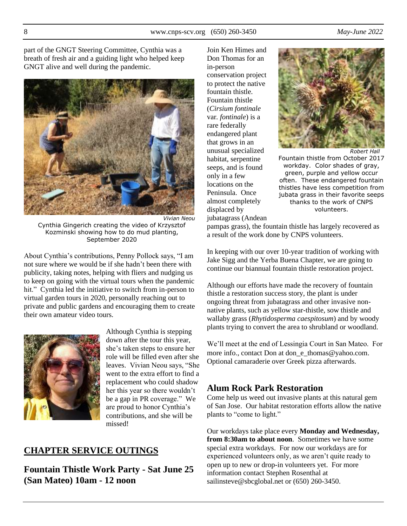part of the GNGT Steering Committee, Cynthia was a breath of fresh air and a guiding light who helped keep GNGT alive and well during the pandemic.



*Vivian Neou* Cynthia Gingerich creating the video of Krzysztof Kozminski showing how to do mud planting, September 2020

About Cynthia's contributions, Penny Pollock says, "I am not sure where we would be if she hadn't been there with publicity, taking notes, helping with fliers and nudging us to keep on going with the virtual tours when the pandemic hit." Cynthia led the initiative to switch from in-person to virtual garden tours in 2020, personally reaching out to private and public gardens and encouraging them to create their own amateur video tours.



Although Cynthia is stepping down after the tour this year, she's taken steps to ensure her role will be filled even after she leaves. Vivian Neou says, "She went to the extra effort to find a replacement who could shadow her this year so there wouldn't be a gap in PR coverage." We are proud to honor Cynthia's contributions, and she will be missed!

# **CHAPTER SERVICE OUTINGS**

**Fountain Thistle Work Party - Sat June 25 (San Mateo) 10am - 12 noon**

Join Ken Himes and Don Thomas for an in-person conservation project to protect the native fountain thistle. Fountain thistle (*Cirsium fontinale*  var*. fontinale*) is a rare federally endangered plant that grows in an unusual specialized habitat, serpentine seeps, and is found only in a few locations on the Peninsula. Once almost completely displaced by jubatagrass (Andean



*Robert Hall* Fountain thistle from October 2017 workday. Color shades of gray, green, purple and yellow occur often. These endangered fountain thistles have less competition from jubata grass in their favorite seeps thanks to the work of CNPS volunteers.

pampas grass), the fountain thistle has largely recovered as a result of the work done by CNPS volunteers.

In keeping with our over 10-year tradition of working with Jake Sigg and the Yerba Buena Chapter, we are going to continue our biannual fountain thistle restoration project.

Although our efforts have made the recovery of fountain thistle a restoration success story, the plant is under ongoing threat from jubatagrass and other invasive nonnative plants, such as yellow star-thistle, sow thistle and wallaby grass (*Rhytidosperma caespitosum*) and by woody plants trying to convert the area to shrubland or woodland.

We'll meet at the end of Lessingia Court in San Mateo. For more info., contact Don at don\_e\_thomas@yahoo.com. Optional camaraderie over Greek pizza afterwards.

# **Alum Rock Park Restoration**

Come help us weed out invasive plants at this natural gem of San Jose. Our habitat restoration efforts allow the native plants to "come to light."

Our workdays take place every **Monday and Wednesday, from 8:30am to about noon**. Sometimes we have some special extra workdays. For now our workdays are for experienced volunteers only, as we aren't quite ready to open up to new or drop-in volunteers yet. For more information contact Stephen Rosenthal at sailinsteve@sbcglobal.net or (650) 260-3450.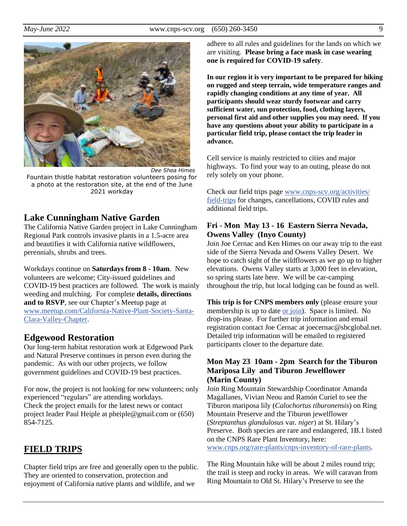

*Dee Shea Himes* Fountain thistle habitat restoration volunteers posing for a photo at the restoration site, at the end of the June 2021 workday

## **Lake Cunningham Native Garden**

The California Native Garden project in Lake Cunningham Regional Park controls invasive plants in a 1.5-acre area and beautifies it with California native wildflowers, perennials, shrubs and trees.

Workdays continue on **Saturdays from 8 - 10am**. New volunteers are welcome; City-issued guidelines and COVID-19 best practices are followed. The work is mainly weeding and mulching. For complete **details, directions and to RSVP**, see our Chapter's Meetup page at [www.meetup.com/California-Native-Plant-Society-Santa-](https://www.meetup.com/California-Native-Plant-Society-Santa-Clara-Valley-Chapter/)[Clara-Valley-Chapter.](https://www.meetup.com/California-Native-Plant-Society-Santa-Clara-Valley-Chapter/)

## **Edgewood Restoration**

Our long-term habitat restoration work at Edgewood Park and Natural Preserve continues in person even during the pandemic. As with our other projects, we follow government guidelines and COVID-19 best practices.

For now, the project is not looking for new volunteers; only experienced "regulars" are attending workdays. Check the project emails for the latest news or contact project leader Paul Heiple at pheiple@gmail.com or (650) 854-7125.

# **FIELD TRIPS**

Chapter field trips are free and generally open to the public. They are oriented to conservation, protection and enjoyment of California native plants and wildlife, and we

adhere to all rules and guidelines for the lands on which we are visiting. **Please bring a face mask in case wearing one is required for COVID-19 safety**.

**In our region it is very important to be prepared for hiking on rugged and steep terrain, wide temperature ranges and rapidly changing conditions at any time of year. All participants should wear sturdy footwear and carry sufficient water, sun protection, food, clothing layers, personal first aid and other supplies you may need. If you have any questions about your ability to participate in a particular field trip, please contact the trip leader in advance.**

Cell service is mainly restricted to cities and major highways. To find your way to an outing, please do not rely solely on your phone.

Check our field trips page [www.cnps-scv.org/activities/](https://www.cnps-scv.org/activities/field-trips/) [field-trips](https://www.cnps-scv.org/activities/field-trips/) for changes, cancellations, COVID rules and additional field trips.

### **Fri - Mon May 13 - 16 Eastern Sierra Nevada, Owens Valley (Inyo County)**

Join Joe Cernac and Ken Himes on our away trip to the east side of the Sierra Nevada and Owens Valley Desert. We hope to catch sight of the wildflowers as we go up to higher elevations. Owens Valley starts at 3,000 feet in elevation, so spring starts late here. We will be car-camping throughout the trip, but local lodging can be found as well.

**This trip is for CNPS members only** (please ensure your membership is up to date [or join\)](https://www.cnps.org/membership/). Space is limited. No drop-ins please. For further trip information and email registration contact Joe Cernac at joecernac@sbcglobal.net. Detailed trip information will be emailed to registered participants closer to the departure date.

#### **Mon May 23 10am - 2pm Search for the Tiburon Mariposa Lily and Tiburon Jewelflower (Marin County)**

Join Ring Mountain Stewardship Coordinator Amanda Magallanes, Vivian Neou and Ramón Curiel to see the Tiburon mariposa lily (*Calochortus tiburonensis*) on Ring Mountain Preserve and the Tiburon jewelflower (*Streptanthus glandulosus* var*. niger*) at St. Hilary's Preserve. Both species are rare and endangered, 1B.1 listed on the CNPS Rare Plant Inventory, here:

[www.cnps.org/rare-plants/cnps-inventory-of-rare-plants.](https://www.cnps.org/rare-plants/cnps-inventory-of-rare-plants)

The Ring Mountain hike will be about 2 miles round trip; the trail is steep and rocky in areas. We will caravan from Ring Mountain to Old St. Hilary's Preserve to see the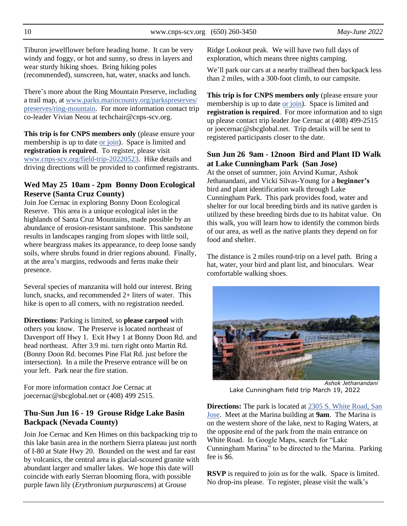Tiburon jewelflower before heading home. It can be very windy and foggy, or hot and sunny, so dress in layers and wear sturdy hiking shoes. Bring hiking poles (recommended), sunscreen, hat, water, snacks and lunch.

There's more about the Ring Mountain Preserve, including a trail map, at [www.parks.marincounty.org/parkspreserves/](https://www.parks.marincounty.org/parkspreserves/preserves/ring-mountain/) [preserves/ring-mountain.](https://www.parks.marincounty.org/parkspreserves/preserves/ring-mountain/) For more information contact trip co-leader Vivian Neou at techchair@cnps-scv.org.

**This trip is for CNPS members only** (please ensure your membership is up to date [or join\)](https://www.cnps.org/membership/). Space is limited and **registration is required**. To register, please visit [www.cnps-scv.org/field-trip-20220523.](https://cnps-scv.org/field-trip-20220523/) Hike details and driving directions will be provided to confirmed registrants.

#### **Wed May 25 10am - 2pm Bonny Doon Ecological Reserve (Santa Cruz County)**

Join Joe Cernac in exploring Bonny Doon Ecological Reserve. This area is a unique ecological islet in the highlands of Santa Cruz Mountains, made possible by an abundance of erosion-resistant sandstone. This sandstone results in landscapes ranging from slopes with little soil, where beargrass makes its appearance, to deep loose sandy soils, where shrubs found in drier regions abound. Finally, at the area's margins, redwoods and ferns make their presence.

Several species of manzanita will hold our interest. Bring lunch, snacks, and recommended 2+ liters of water. This hike is open to all comers, with no registration needed.

**Directions**: Parking is limited, so **please carpool** with others you know. The Preserve is located northeast of Davenport off Hwy 1. Exit Hwy 1 at Bonny Doon Rd. and head northeast. After 3.9 mi. turn right onto Martin Rd. (Bonny Doon Rd. becomes Pine Flat Rd. just before the intersection). In a mile the Preserve entrance will be on your left. Park near the fire station.

For more information contact Joe Cernac at joecernac@sbcglobal.net or (408) 499 2515.

#### **Thu-Sun Jun 16 - 19 Grouse Ridge Lake Basin Backpack (Nevada County)**

Join Joe Cernac and Ken Himes on this backpacking trip to this lake basin area in the northern Sierra plateau just north of I-80 at State Hwy 20. Bounded on the west and far east by volcanics, the central area is glacial-scoured granite with abundant larger and smaller lakes. We hope this date will coincide with early Sierran blooming flora, with possible purple fawn lily (*Erythronium purpurascens*) at Grouse

Ridge Lookout peak. We will have two full days of exploration, which means three nights camping.

We'll park our cars at a nearby trailhead then backpack less than 2 miles, with a 300-foot climb, to our campsite.

**This trip is for CNPS members only** (please ensure your membership is up to dat[e or join\)](https://www.cnps.org/membership/). Space is limited and **registration is required**. For more information and to sign up please contact trip leader Joe Cernac at (408) 499-2515 or joecernac@sbcglobal.net. Trip details will be sent to registered participants closer to the date.

#### **Sun Jun 26 9am - 12noon Bird and Plant ID Walk at Lake Cunningham Park (San Jose)**

At the onset of summer, join Arvind Kumar, Ashok Jethanandani, and Vicki Silvas-Young for a **beginner's** bird and plant identification walk through Lake Cunningham Park. This park provides food, water and shelter for our local breeding birds and its native garden is utilized by these breeding birds due to its habitat value. On this walk, you will learn how to identify the common birds of our area, as well as the native plants they depend on for food and shelter.

The distance is 2 miles round-trip on a level path. Bring a hat, water, your bird and plant list, and binoculars. Wear comfortable walking shoes.



*Ashok Jethanandani* Lake Cunningham field trip March 19, 2022

**Directions:** The park is located at 2305 S. White Road, San [Jose.](https://www.google.com/maps/search/2305+S.+White+Road,+San+Jose) Meet at the Marina building at **9am**. The Marina is on the western shore of the lake, next to Raging Waters, at the opposite end of the park from the main entrance on White Road. In Google Maps, search for "Lake Cunningham Marina" to be directed to the Marina. Parking fee is \$6.

**RSVP** is required to join us for the walk. Space is limited. No drop-ins please. To register, please visit the walk's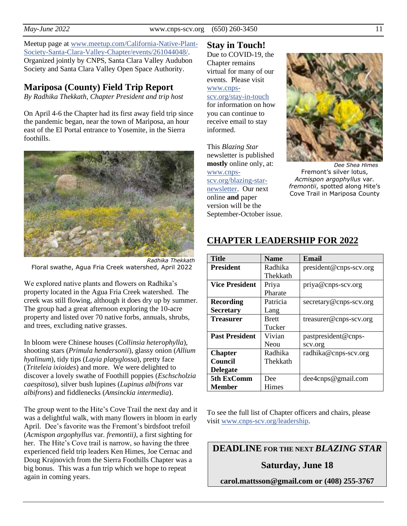Meetup page at [www.meetup.com/California-Native-Plant-](https://www.meetup.com/California-Native-Plant-Society-Santa-Clara-Valley-Chapter/events/261044048/)[Society-Santa-Clara-Valley-Chapter/events/261044048/](https://www.meetup.com/California-Native-Plant-Society-Santa-Clara-Valley-Chapter/events/261044048/). Organized jointly by CNPS, Santa Clara Valley Audubon Society and Santa Clara Valley Open Space Authority.

# **Mariposa (County) Field Trip Report**

*By Radhika Thekkath, Chapter President and trip host*

On April 4-6 the Chapter had its first away field trip since the pandemic began, near the town of Mariposa, an hour east of the El Portal entrance to Yosemite, in the Sierra foothills.



*Radhika Thekkath* Floral swathe, Agua Fria Creek watershed, April 2022

We explored native plants and flowers on Radhika's property located in the Agua Fria Creek watershed. The creek was still flowing, although it does dry up by summer. The group had a great afternoon exploring the 10-acre property and listed over 70 native forbs, annuals, shrubs, and trees, excluding native grasses.

In bloom were Chinese houses (*Collinsia heterophylla*), shooting stars (*Primula hendersonii*), glassy onion (*Allium hyalinum*), tidy tips (*Layia platyglossa*), pretty face (*Triteleia ixioides*) and more. We were delighted to discover a lovely swathe of Foothill poppies (*Eschscholzia caespitosa*), silver bush lupines (*Lupinus albifrons* var *albifrons*) and fiddlenecks (*Amsinckia intermedia*).

The group went to the Hite's Cove Trail the next day and it was a delightful walk, with many flowers in bloom in early April. Dee's favorite was the Fremont's birdsfoot trefoil (*Acmispon argophyllus* var*. fremontii)*, a first sighting for her. The Hite's Cove trail is narrow, so having the three experienced field trip leaders Ken Himes, Joe Cernac and Doug Krajnovich from the Sierra Foothills Chapter was a big bonus. This was a fun trip which we hope to repeat again in coming years.

# **Stay in Touch!**

Due to COVID-19, the Chapter remains virtual for many of our events. Please visit [www.cnps](https://www.cnps-scv.org/stay-in-touch)[scv.org/stay-in-touch](https://www.cnps-scv.org/stay-in-touch)

for information on how you can continue to receive email to stay informed.

This *Blazing Star* newsletter is published **mostly** online only, at: [www.cnps](https://www.cnps-scv.org/blazing-star-newsletter)[scv.org/blazing-star](https://www.cnps-scv.org/blazing-star-newsletter)[newsletter.](https://www.cnps-scv.org/blazing-star-newsletter) Our next online **and** paper version will be the September-October issue.



*Dee Shea Himes* Fremont's silver lotus, *Acmispon argophyllus* var*. fremontii*, spotted along Hite's Cove Trail in Mariposa County

| <b>Title</b>          | <b>Name</b>  | Email                  |
|-----------------------|--------------|------------------------|
| <b>President</b>      | Radhika      | president@cnps-scv.org |
|                       | Thekkath     |                        |
| <b>Vice President</b> | Priya        | priya@cnps-scv.org     |
|                       | Pharate      |                        |
| <b>Recording</b>      | Patricia     | secretary@cnps-scv.org |
| <b>Secretary</b>      | Lang         |                        |
| <b>Treasurer</b>      | <b>Brett</b> | treasurer@cnps-scv.org |
|                       | Tucker       |                        |
| <b>Past President</b> | Vivian       | pastpresident@cnps-    |
|                       | Neou         | scv.org                |
| <b>Chapter</b>        | Radhika      | radhika@cnps-scv.org   |
| Council               | Thekkath     |                        |
| <b>Delegate</b>       |              |                        |
| 5th ExComm            | Dee          | $dee4$ cnps@gmail.com  |
| Member                | Himes        |                        |

## **CHAPTER LEADERSHIP FOR 2022**

To see the full list of Chapter officers and chairs, please visit [www.cnps-scv.org/leadership.](https://cnps-scv.org/leadership)

**DEADLINE FOR THE NEXT** *BLAZING STAR*

## **Saturday, June 18**

**carol.mattsson@gmail.com or (408) 255-3767**